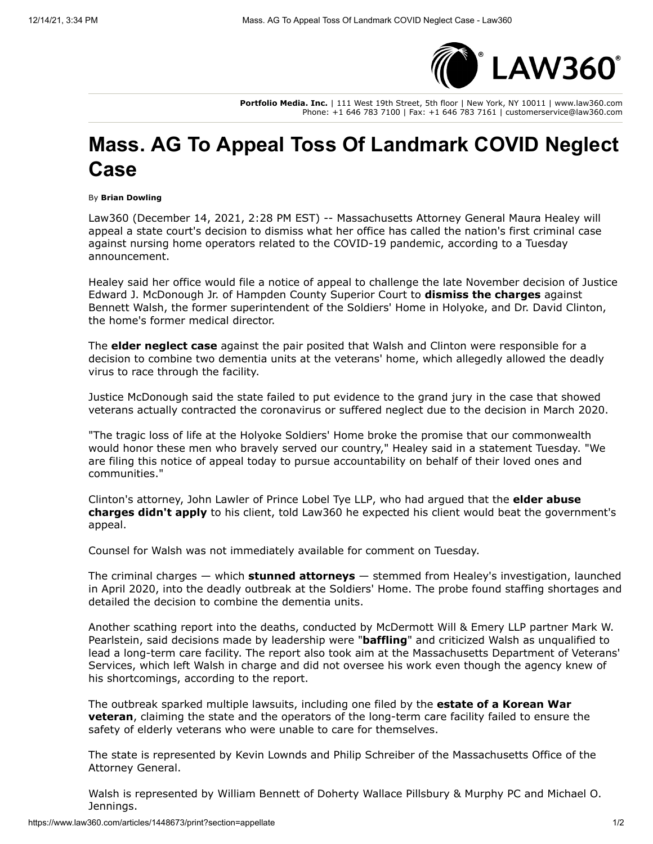

**Portfolio Media. Inc.** | 111 West 19th Street, 5th floor | New York, NY 10011 | www.law360.com Phone: +1 646 783 7100 | Fax: +1 646 783 7161 | customerservice@law360.com

## **Mass. AG To Appeal Toss Of Landmark COVID Neglect Case**

## By **Brian Dowling**

Law360 (December 14, 2021, 2:28 PM EST) -- Massachusetts Attorney General Maura Healey will appeal a state court's decision to dismiss what her office has called the nation's first criminal case against nursing home operators related to the COVID-19 pandemic, according to a Tuesday announcement.

Healey said her office would file a notice of appeal to challenge the late November decision of Justice Edward J. McDonough Jr. of Hampden County Superior Court to **[dismiss the charges](https://www.law360.com/articles/1442909/mass-vets-home-operators-avoid-charges-over-virus-deaths)** against Bennett Walsh, the former superintendent of the Soldiers' Home in Holyoke, and Dr. David Clinton, the home's former medical director.

The **[elder neglect case](https://www.law360.com/articles/1313874/mass-vet-home-leaders-charged-over-deadly-virus-outbreak)** against the pair posited that Walsh and Clinton were responsible for a decision to combine two dementia units at the veterans' home, which allegedly allowed the deadly virus to race through the facility.

Justice McDonough said the state failed to put evidence to the grand jury in the case that showed veterans actually contracted the coronavirus or suffered neglect due to the decision in March 2020.

"The tragic loss of life at the Holyoke Soldiers' Home broke the promise that our commonwealth would honor these men who bravely served our country," Healey said in a statement Tuesday. "We are filing this notice of appeal today to pursue accountability on behalf of their loved ones and communities."

[Clinton's attorney, John Lawler of P](https://www.law360.com/articles/1415928/mass-vet-home-head-says-elder-laws-don-t-fit-virus-charges)[rince Lobel Tye LL](https://www.law360.com/firms/prince-lobel)[P, who had argued that the](https://www.law360.com/articles/1415928/mass-vet-home-head-says-elder-laws-don-t-fit-virus-charges) **elder abuse charges didn't apply** to his client, told Law360 he expected his client would beat the government's appeal.

Counsel for Walsh was not immediately available for comment on Tuesday.

The criminal charges — which **[stunned attorneys](https://www.law360.com/articles/1315475/mass-nursing-home-covid-19-criminal-case-stuns-attys)** — stemmed from Healey's investigation, launched in April 2020, into the deadly outbreak at the Soldiers' Home. The probe found staffing shortages and detailed the decision to combine the dementia units.

Another scathing report into the deaths, conducted by [McDermott Will & Emery LLP](https://www.law360.com/firms/mcdermott-will) partner Mark W. Pearlstein, said decisions made by leadership were "**[baffling](https://www.law360.com/articles/1286305/mcdermott-atty-faults-vets-home-s-baffling-virus-response)**" and criticized Walsh as unqualified to lead a long-term care facility. The report also took aim at the Massachusetts Department of Veterans' Services, which left Walsh in charge and did not oversee his work even though the agency knew of his shortcomings, according to the report.

The outbreak sparked multiple lawsuits, including one filed by the **estate of a Korean War veteran**[, claiming the state and the operators of the long-term care facility failed to ensure](https://www.law360.com/articles/1293124/mass-soldiers-home-sued-over-deadly-covid-19-outbreak) the safety of elderly veterans who were unable to care for themselves.

The state is represented by Kevin Lownds and Philip Schreiber of the Massachusetts Office of the Attorney General.

Walsh is represented by William Bennett of [Doherty Wallace Pillsbury & Murphy PC](https://www.law360.com/firms/doherty-wallace) and Michael O. Jennings.